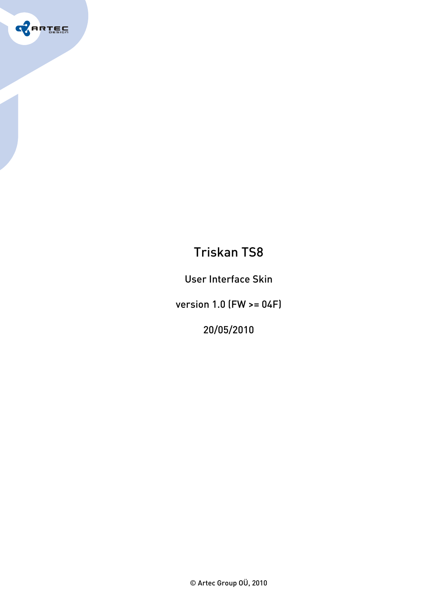

# Triskan TS8

User Interface Skin

version 1.0 (FW >= 04F)

20/05/2010

© Artec Group OÜ, 2010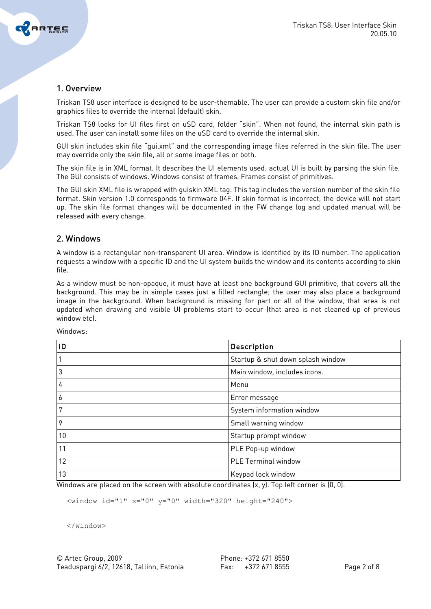

# 1. Overview

Triskan TS8 user interface is designed to be user-themable. The user can provide a custom skin file and/or graphics files to override the internal (default) skin.

Triskan TS8 looks for UI files first on uSD card, folder "skin". When not found, the internal skin path is used. The user can install some files on the uSD card to override the internal skin.

GUI skin includes skin file "gui.xml" and the corresponding image files referred in the skin file. The user may override only the skin file, all or some image files or both.

The skin file is in XML format. It describes the UI elements used; actual UI is built by parsing the skin file. The GUI consists of windows. Windows consist of frames. Frames consist of primitives.

The GUI skin XML file is wrapped with guiskin XML tag. This tag includes the version number of the skin file format. Skin version 1.0 corresponds to firmware 04F. If skin format is incorrect, the device will not start up. The skin file format changes will be documented in the FW change log and updated manual will be released with every change.

# 2. Windows

A window is a rectangular non-transparent UI area. Window is identified by its ID number. The application requests a window with a specific ID and the UI system builds the window and its contents according to skin file.

As a window must be non-opaque, it must have at least one background GUI primitive, that covers all the background. This may be in simple cases just a filled rectangle; the user may also place a background image in the background. When background is missing for part or all of the window, that area is not updated when drawing and visible UI problems start to occur (that area is not cleaned up of previous window etc).

|    | Description                       |
|----|-----------------------------------|
|    | Startup & shut down splash window |
| 3  | Main window, includes icons.      |
| 4  | Menu                              |
| o  | Error message                     |
|    | System information window         |
| 9  | Small warning window              |
| 10 | Startup prompt window             |
| 11 | PLE Pop-up window                 |
| 12 | PLE Terminal window               |
| 13 | Keypad lock window                |

Windows:

Windows are placed on the screen with absolute coordinates (x, y). Top left corner is (0, 0).

<window id="1" x="0" y="0" width="320" height="240">

</window>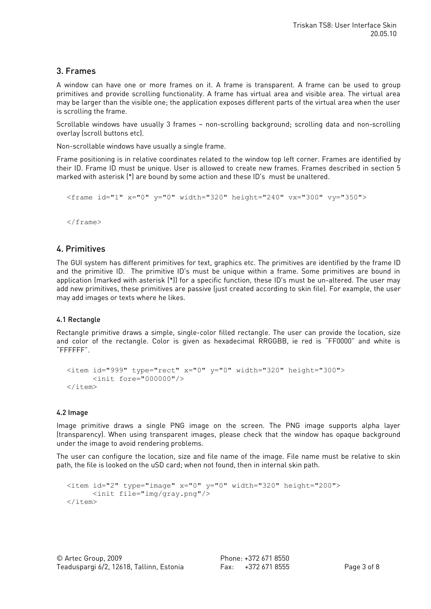# 3. Frames

A window can have one or more frames on it. A frame is transparent. A frame can be used to group primitives and provide scrolling functionality. A frame has virtual area and visible area. The virtual area may be larger than the visible one; the application exposes different parts of the virtual area when the user is scrolling the frame.

Scrollable windows have usually 3 frames – non-scrolling background; scrolling data and non-scrolling overlay (scroll buttons etc).

Non-scrollable windows have usually a single frame.

Frame positioning is in relative coordinates related to the window top left corner. Frames are identified by their ID. Frame ID must be unique. User is allowed to create new frames. Frames described in section 5 marked with asterisk (\*) are bound by some action and these ID's must be unaltered.

```
<frame id="1" x="0" y="0" width="320" height="240" yx="300" yy="350" >
```
</frame>

# 4. Primitives

The GUI system has different primitives for text, graphics etc. The primitives are identified by the frame ID and the primitive ID. The primitive ID's must be unique within a frame. Some primitives are bound in application (marked with asterisk (\*)) for a specific function, these ID's must be un-altered. The user may add new primitives, these primitives are passive (just created according to skin file). For example, the user may add images or texts where he likes.

## 4.1 Rectangle

Rectangle primitive draws a simple, single-color filled rectangle. The user can provide the location, size and color of the rectangle. Color is given as hexadecimal RRGGBB, ie red is "FF0000" and white is "FFFFFF".

```
<item id="999" type="rect" x="0" y="0" width="320" height="300"> 
      <init fore="000000"/> 
</item>
```
## 4.2 Image

Image primitive draws a single PNG image on the screen. The PNG image supports alpha layer (transparency). When using transparent images, please check that the window has opaque background under the image to avoid rendering problems.

The user can configure the location, size and file name of the image. File name must be relative to skin path, the file is looked on the uSD card; when not found, then in internal skin path.

```
<item id="2" type="image" x="0" y="0" width="320" height="200"> 
      <init file="img/gray.png"/> 
\langleitem\rangle
```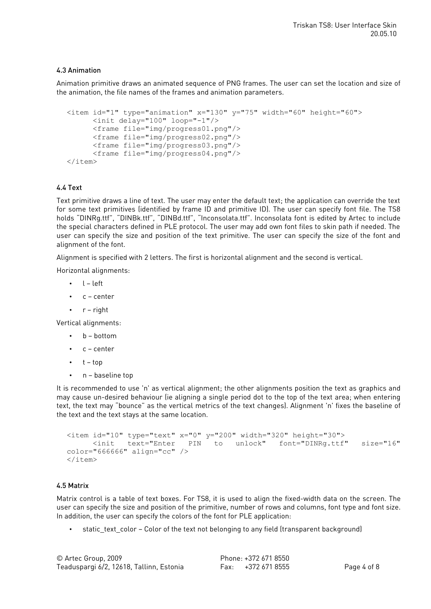## 4.3 Animation

Animation primitive draws an animated sequence of PNG frames. The user can set the location and size of the animation, the file names of the frames and animation parameters.

```
<item id="1" type="animation" x="130" y="75" width="60" height="60"> 
      <init delay="100" loop="-1"/> 
      <frame file="img/progress01.png"/> 
      <frame file="img/progress02.png"/> 
      <frame file="img/progress03.png"/> 
      <frame file="img/progress04.png"/> 
</item>
```
### 4.4 Text

Text primitive draws a line of text. The user may enter the default text; the application can override the text for some text primitives (identified by frame ID and primitive ID). The user can specify font file. The TS8 holds "DINRg.ttf", "DINBk.ttf", "DINBd.ttf", "Inconsolata.ttf". Inconsolata font is edited by Artec to include the special characters defined in PLE protocol. The user may add own font files to skin path if needed. The user can specify the size and position of the text primitive. The user can specify the size of the font and alignment of the font.

Alignment is specified with 2 letters. The first is horizontal alignment and the second is vertical.

Horizontal alignments:

- $\cdot$  l left
- c center
- $\cdot$   $r$  right

Vertical alignments:

- b bottom
- $\cdot$   $c$  center
- $\cdot$  t top
- n baseline top

It is recommended to use 'n' as vertical alignment; the other alignments position the text as graphics and may cause un-desired behaviour (ie aligning a single period dot to the top of the text area; when entering text, the text may "bounce" as the vertical metrics of the text changes). Alignment 'n' fixes the baseline of the text and the text stays at the same location.

```
<item id="10" type="text" x="0" y="200" width="320" height="30"> 
     <init text="Enter PIN to unlock" font="DINRg.ttf" size="16"
color="666666" align="cc" /> 
\langleitem\rangle
```
#### 4.5 Matrix

Matrix control is a table of text boxes. For TS8, it is used to align the fixed-width data on the screen. The user can specify the size and position of the primitive, number of rows and columns, font type and font size. In addition, the user can specify the colors of the font for PLE application:

 $6718550$ 

static text color – Color of the text not belonging to any field (transparent background)

| © Artec Group, 2009                      | Phone: +372 671 8550 |             |
|------------------------------------------|----------------------|-------------|
| Teaduspargi 6/2, 12618, Tallinn, Estonia | Fax: +372 671 8555   | Page 4 of 8 |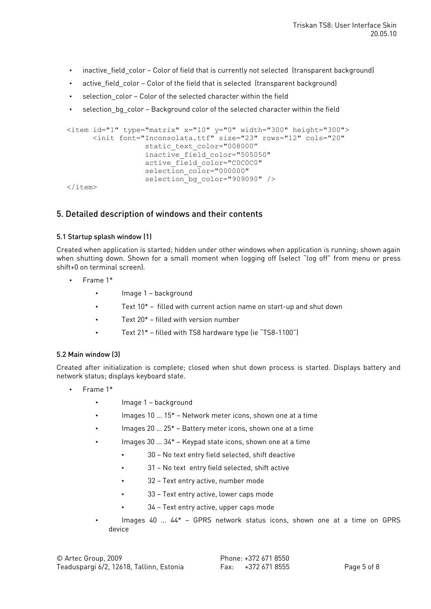- inactive field color Color of field that is currently not selected (transparent background)
- active field color Color of the field that is selected (transparent background)
- selection color Color of the selected character within the field
- selection bg color Background color of the selected character within the field

```
<item id="1" type="matrix" x="10" y="0" width="300" height="300">
      <init font="Inconsolata.ttf" size="23" rows="12" cols="20" 
                  static text color="008000"
                  inactive_field_color="505050" 
                  active field color="C0C0C0"
                  selection color="0000000"
                  selection bg color="909090" />
```
 $\langle$ item $\rangle$ 

# 5. Detailed description of windows and their contents

### 5.1 Startup splash window (1)

Created when application is started; hidden under other windows when application is running; shown again when shutting down. Shown for a small moment when logging off (select "log off" from menu or press shift+0 on terminal screen).

- Frame 1\*
	- Image 1 background
	- Text 10\* filled with current action name on start-up and shut down
	- Text  $20^*$  filled with version number
	- Text 21\* filled with TS8 hardware type (ie "TS8-1100")

## 5.2 Main window (3)

Created after initialization is complete; closed when shut down process is started. Displays battery and network status; displays keyboard state.

- Frame 1\*
	- Image 1 background
	- Images 10 ... 15\* Network meter icons, shown one at a time
	- Images 20 … 25\* Battery meter icons, shown one at a time
	- Images  $30...34*$  Keypad state icons, shown one at a time
		- 30 No text entry field selected, shift deactive
		- 31 No text entry field selected, shift active
		- 32 Text entry active, number mode
		- 33 Text entry active, lower caps mode
		- 34 Text entry active, upper caps mode
	- Images 40 … 44\* GPRS network status icons, shown one at a time on GPRS device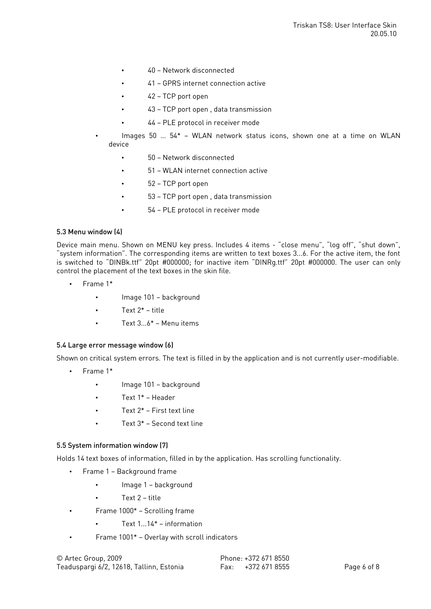- 40 Network disconnected
- 41 GPRS internet connection active
- 42 TCP port open
- 43 TCP port open , data transmission
- 44 PLE protocol in receiver mode
- Images 50 … 54\* WLAN network status icons, shown one at a time on WLAN device
	- 50 Network disconnected
	- 51 WLAN internet connection active
	- 52 TCP port open
	- 53 TCP port open , data transmission
	- 54 PLE protocol in receiver mode

### 5.3 Menu window (4)

Device main menu. Shown on MENU key press. Includes 4 items - "close menu", "log off", "shut down", "system information". The corresponding items are written to text boxes 3...6. For the active item, the font is switched to "DINBk.ttf" 20pt #000000; for inactive item "DINRg.ttf" 20pt #000000. The user can only control the placement of the text boxes in the skin file.

- Frame 1\*
	- Image 101 background
	- Text 2\* title
	- $Text 3.6* Menu items$

#### 5.4 Large error message window (6)

Shown on critical system errors. The text is filled in by the application and is not currently user-modifiable.

- Frame 1\*
	- Image 101 background
	- Text 1\* Header
	- Text 2\* First text line
	- Text 3\* Second text line

#### 5.5 System information window (7)

Holds 14 text boxes of information, filled in by the application. Has scrolling functionality.

- Frame 1 Background frame
	- Image 1 background
	- Text 2 title
- Frame 1000\* Scrolling frame
	- Text 1...14\* information
- Frame 1001\* Overlay with scroll indicators

© Artec Group, 2009 Phone: +372 671 8550 Teaduspargi 6/2, 12618, Tallinn, Estonia Fax: +372 671 8555 Page 6 of 8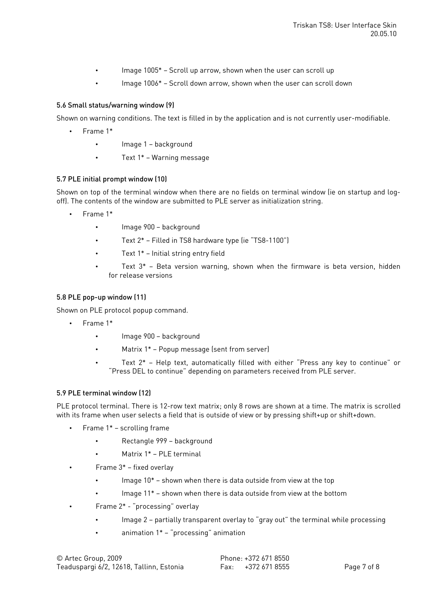- Image 1005\* Scroll up arrow, shown when the user can scroll up
- Image 1006\* Scroll down arrow, shown when the user can scroll down

### 5.6 Small status/warning window (9)

Shown on warning conditions. The text is filled in by the application and is not currently user-modifiable.

- Frame 1\*
	- Image 1 background
	- Text 1\* Warning message

#### 5.7 PLE initial prompt window (10)

Shown on top of the terminal window when there are no fields on terminal window (ie on startup and logoff). The contents of the window are submitted to PLE server as initialization string.

- Frame 1\*
	- Image 900 background
	- Text 2\* Filled in TS8 hardware type (ie "TS8-1100")
	- Text  $1^*$  Initial string entry field
	- Text  $3*$  Beta version warning, shown when the firmware is beta version, hidden for release versions

#### 5.8 PLE pop-up window (11)

Shown on PLE protocol popup command.

- Frame 1\*
	- Image 900 background
	- Matrix 1\* Popup message (sent from server)
	- Text 2\* Help text, automatically filled with either "Press any key to continue" or "Press DEL to continue" depending on parameters received from PLE server.

#### 5.9 PLE terminal window (12)

PLE protocol terminal. There is 12-row text matrix; only 8 rows are shown at a time. The matrix is scrolled with its frame when user selects a field that is outside of view or by pressing shift+up or shift+down.

- Frame 1\* scrolling frame
	- Rectangle 999 background
	- Matrix 1\* PLE terminal
	- Frame 3\* fixed overlay
		- Image  $10^*$  shown when there is data outside from view at the top
		- Image 11\* shown when there is data outside from view at the bottom
- Frame 2\* "processing" overlay
	- Image 2 partially transparent overlay to "gray out" the terminal while processing
	- animation  $1^*$  "processing" animation

| © Artec Group, 2009                      | Phone: +372 671 8550 |             |
|------------------------------------------|----------------------|-------------|
| Teaduspargi 6/2, 12618, Tallinn, Estonia | Fax: +372 671 8555   | Page 7 of 8 |